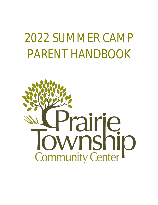# 2022 SUMMER CAMP PARENT HANDBOOK

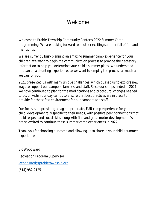### Welcome!

Welcome to Prairie Township Community Center's 2022 Summer Camp programming. We are looking forward to another exciting summer full of fun and friendships.

We are currently busy planning an amazing summer camp experience for your children, we want to begin the communication process to provide the necessary information to help you determine your child's summer plans. We understand this can be a daunting experience, so we want to simplify the process as much as we can for you.

2021 presented us with many unique challenges, which pushed us to explore new ways to support our campers, families, and staff. Since our camps ended in 2021, we have continued to plan for the modifications and procedural changes needed to occur within our day camps to ensure that best practices are in place to provide for the safest environment for our campers and staff.

Our focus is on providing an age-appropriate, **FUN** camp experience for your child, developmentally specific to their needs, with positive peer connections that build respect and social skills along with fine and gross motor development. We are so excited to continue these summer camp experiences in 2022!

Thank you for choosing our camp and allowing us to share in your child's summer experience.

Vic Woodward Recreation Program Supervisor [vwoodward@prairietownship.org](mailto:vwoodward@prairietownship.org)

(614) 982-2125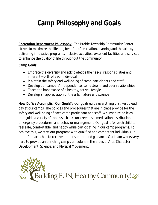### **Camp Philosophy and Goals**

**Recreation Department Philosophy:** The Prairie Township Community Center strives to maximize the lifelong benefits of recreation, learning and the arts by delivering innovative programs, inclusive activities, excellent facilities and services to enhance the quality of life throughout the community.

### **Camp Goals:**

- Embrace the diversity and acknowledge the needs, responsibilities and inherent worth of each individual
- Maintain the safety and well-being of camp participants and staff
- Develop our campers' independence, self-esteem, and peer relationships
- Teach the importance of a healthy, active lifestyle
- Develop an appreciation of the arts, nature and science

**How Do We Accomplish Our Goals?:** Our goals guide everything that we do each day at our camps. The policies and procedures that are in place provide for the safety and well-being of each camp participant and staff. We institute policies that guide a variety of topics such as: sunscreen use, medication distribution, emergency procedures, and behavior management. Our goal is for each child to feel safe, comfortable, and happy while participating in our camp programs. To achieve this, we staff our programs with qualified and competent individuals, in order for each child to receive proper support and guidance. Our team works very hard to provide an enriching camp curriculum in the areas of Arts, Character Development, Science, and Physical Movement.

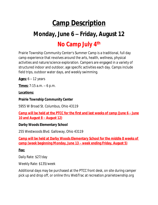### **Camp Description**

### **Monday, June 6 – Friday, August 12 No Camp July 4th**

Prairie Township Community Center's Summer Camp is a traditional, full day camp experience that revolves around the arts, health, wellness, physical activities and nature/science exploration. Campers are engaged in a variety of structured indoor and outdoor, age specific activities each day. Camps include field trips, outdoor water days, and weekly swimming.

**Ages:** 6 – 12 years

**Times:** 7:15 a.m. – 6 p.m.

#### **Locations:**

#### **Prairie Township Community Center**

5955 W Broad St. Columbus, Ohio 43119

**Camp will be held at the PTCC for the first and last weeks of camp (June 6 – June 10 and August 8 – August 12)**

#### **Darby Woods Elementary School**

255 Westwoods Blvd. Galloway, Ohio 43119

**Camp will be held at Darby Woods Elementary School for the middle 8 weeks of camp (week beginning Monday, June 13 – week ending Friday, August 5)**

#### **Fee:**

Daily Rate: \$27/day

Weekly Rate: \$135/week

Additional days may be purchased at the PTCC front desk, on site during camper pick up and drop off, or online thru WebTrac at recreation.prairietownship.org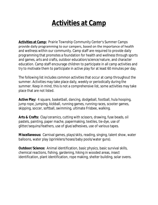### **Activities at Camp**

**Activities at Camp:** Prairie Township Community Center's Summer Camps provide daily programming to our campers, based on the importance of health and wellness within our community. Camp staff are required to provide daily programming that promotes a foundation for health and wellness through sports and games, arts and crafts, outdoor education/science/nature, and character education. Camp staff encourage children to participate in all camp activities and try to motivate them to participate in active play for at least 60 minutes per day.

The following list includes common activities that occur at camp throughout the summer. Activities may take place daily, weekly or periodically during the summer. Keep in mind, this is not a comprehensive list, some activities may take place that are not listed.

**Active Play:** 4 square, basketball, dancing, dodgeball, football, hula hooping, jump rope, jumping, kickball, running games, running races, scooter games, skipping, soccer, softball, swimming, ultimate Frisbee, walking.

**Arts & Crafts:** Clay/ceramics, cutting with scissors, drawing, fuse beads, oil pastels, painting, paper mache, papermaking, textiles, tie-dye, use of glitter/sequins/feathers, use of glue/adhesives, use of various tapes.

**Miscellaneous:** Carnival games, plays/skits, reading, singing, talent show, water balloons, water play (sprinklers/hoses/baby pools/water guns).

**Outdoor/Science:** Animal identification, basic physics, basic survival skills, chemical reactions, fishing, gardening, hiking in wooded areas, insect identification, plant identification, rope making, shelter building, solar ovens.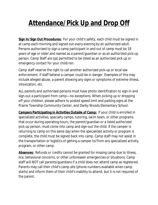### **Attendance/Pick Up and Drop Off**

**Sign In/Sign Out Procedures:** For your child's safety, each child must be signed in at camp each morning and signed out every evening by an authorized adult. Persons authorized to sign a camp participant in and out of camp must be 18 years of age or older and named as a parent/guardian or as an authorized pick-up person. Camp Staff are not permitted to be listed as an authorized pick up or emergency contact for your child/ren.

Camp staff reserve the right to call another authorized pick-up or local law enforcement, if staff believe a camper could be in danger. Examples of this may include alleged abuse, a parent showing any signs or symptoms of extreme illness, intoxication, etc.

ALL parents and authorized persons must have photo identification to sign-in and sign-out a participant from camp—no exceptions. When picking up or dropping off your children, please adhere to posted speed limit and parking signs at the Prairie Township Community Center, and Darby Woods Elementary School.

**Campers Participating in Activities Outside of Camp:** If your child is enrolled in specialized activities, specialty camps, tutoring, swim team, or other programs that occur during operating hours, the parent/guardian or a listed authorized pick-up person, must come into camp and sign-out the child. If the camper is returning to camp on this same day when the specialized activity or program is complete, the child must be signed back into camp. Camp staff may not assist in the transportation or logistics of getting a camper to/from any specialized activity, program, or other camp.

**Absences:** Refunds or credits cannot be granted for missing camp due to illness, lice, behavioral concerns, or other unforeseen emergencies or situations. Camp staff will NOT call parents/guardians if a child does not attend camp as registered. Parents may call their child's camp site (phone numbers available when camp starts) and inform them of their child's inability to attend, but it is not required of the parent.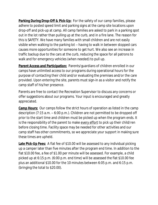**Parking During Drop-Off & Pick-Up:** For the safety of our camp families, please adhere to posted speed limit and parking signs at the camp site locations upon drop-off and pick-up at camp. All camp families are asked to park in a parking spot out in the lot rather than pulling up at the curb, and in a fire lane. The reason for this is SAFETY. We have many families with small children and are not easily visible when walking to the parking lot – having to walk in between stopped cars causes more opportunities for someone to get hurt. We also see an increase in traffic backup due to the cars at the curb, reducing the space for all patrons to walk and for emergency vehicles (when needed) to pull up.

**Parent Access and Participation:** Parents/guardians of children enrolled in our camps have unlimited access to our programs during operational hours for the purpose of contacting their child and/or evaluating the premises and/or the care provided. Upon entering the site, parents must sign-in as a visitor and notify the camp staff of his/her presence.

Parents are free to contact the Recreation Supervisor to discuss any concerns or offer suggestions about our programs. Your input is encouraged and greatly appreciated.

**Camp Hours:** Our camps follow the strict hours of operation as listed in the camp description (7:15 a.m. – 6:00 p.m.). Children are not permitted to be dropped off prior to the start time and children must be picked up when the program ends. It is the responsibility of the parent to make every effort to pick up their child/ren before closing time. Facility space may be needed for other activities and our camp staff has other commitments, so we appreciate your support in making sure these times are upheld.

**Late Pick-Up Fees:** A flat fee of \$10.00 will be assessed to any individual picking up a camper later than five minutes after the program end time. In addition to the flat \$10.00 fee, a fee of \$1.00 per minute will be assessed. For example, a child picked up at 6:15 p.m. (6:00 p.m. end time) will be assessed the flat \$10.00 fee plus an additional \$10.00 for the 10 minutes between 6:05 p.m. and 6:15 p.m. (bringing the total to \$20.00).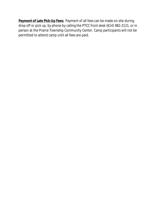Payment of Late Pick-Up Fees: Payment of all fees can be made on site during drop off or pick up, by phone by calling the PTCC front desk (614) 982-2121, or in person at the Prairie Township Community Center. Camp participants will not be permitted to attend camp until all fees are paid.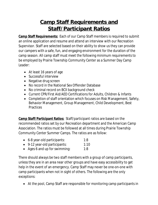### **Camp Staff Requirements and Staff/Participant Ratios**

**Camp Staff Requirements:** Each of our Camp Staff members is required to submit an online application and resume and attend an interview with our Recreation Supervisor. Staff are selected based on their ability to show us they can provide our campers with a safe, fun, and engaging environment for the duration of the camp season. All camp staff must meet the following minimum requirements to be employed by Prairie Township Community Center as a Summer Day Camp Leader:

- At least 16 years of age
- Successful interview
- Negative drug screen
- No record in the National Sex Offender Database
- No criminal record on BCII background check
- Current CPR/First Aid/AED Certifications for Adults, Children & Infants
- Completion of staff orientation which focuses on Risk Management, Safety, Behavior Management, Group Management, Child Development, Best **Practices**

**Camp Staff/Participant Ratios:** Staff/participant ratios are based on the recommended ratios set by our Recreation department and the American Camp Association. The ratios must be followed at all times during Prairie Township Community Center Summer Camps. The ratios are as follow:

- 6-8 year-old participants: 1:8 9-12 year-old participants: 1:10
- Ages 6 and up for swimming: 1:8

There should always be two staff members with a group of camp participants, unless they are in an area near other groups and have easy accessibility to get help in the event of an emergency. Camp Staff may never be one-on-one with camp participants when not in sight of others. The following are the only exceptions:

At the pool, Camp Staff are responsible for monitoring camp participants in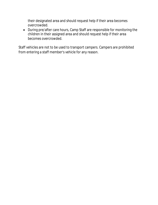their designated area and should request help if their area becomes overcrowded.

 During pre/after care hours, Camp Staff are responsible for monitoring the children in their assigned area and should request help if their area becomes overcrowded.

Staff vehicles are not to be used to transport campers. Campers are prohibited from entering a staff member's vehicle for any reason.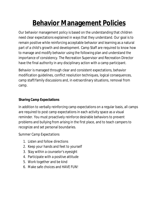## **Behavior Management Policies**

Our behavior management policy is based on the understanding that children need clear expectations explained in ways that they understand. Our goal is to remain positive while reinforcing acceptable behavior and learning as a natural part of a child's growth and development. Camp Staff are required to know how to manage and modify behavior using the following plan and understand the importance of consistency. The Recreation Supervisor and Recreation Director have the final authority in any disciplinary action with a camp participant.

Behavior is managed through clear and consistent expectations, behavior modification guidelines, conflict resolution techniques, logical consequences, camp staff/family discussions and, in extraordinary situations, removal from camp.

### **Sharing Camp Expectations**

In addition to verbally reinforcing camp expectations on a regular basis, all camps are required to post camp expectations in each activity space as a visual reminder. You must proactively reinforce desirable behaviors to prevent problems and bullying from arising in the first place, and to teach campers to recognize and set personal boundaries.

### *Summer Camp Expectations*

- 1. Listen and follow directions
- 2. Keep your hands and feet to yourself
- 3. Stay within a counselor's eyesight
- 4. Participate with a positive attitude
- 5. Work together and be kind
- 6. Make safe choices and HAVE FUN!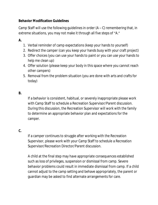### **Behavior Modification Guidelines**

Camp Staff will use the following guidelines in order  $(A - C)$  remembering that, in extreme situations, you may not make it through all five steps of "A."

### **A.**

- 1. Verbal reminder of camp expectations (keep your hands to yourself)
- 2. Redirect the camper (can you keep your hands busy with your craft project)
- 3. Offer choices (you can use your hands to paint or you can use your hands to help me clean up)
- 4. Offer solution (please keep your body in this space where you cannot reach other campers)
- 5. Removal from the problem situation (you are done with arts and crafts for today)

#### **B.**

If a behavior is consistent, habitual, or severely inappropriate please work with Camp Staff to schedule a Recreation Supervisor/Parent discussion. During this discussion, the Recreation Supervisor will work with the family to determine an appropriate behavior plan and expectations for the camper.

#### **C.**

If a camper continues to struggle after working with the Recreation Supervisor, please work with your Camp Staff to schedule a Recreation Supervisor/Recreation Director/Parent discussion.

A child at the final step may have appropriate consequences established such as loss of privileges, suspension or dismissal from camp. Severe behavior problems could result in immediate dismissal from camp. If a child cannot adjust to the camp setting and behave appropriately, the parent or guardian may be asked to find alternate arrangements for care.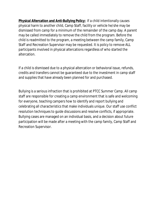**Physical Altercation and Anti-Bullying Policy:** If a child intentionally causes physical harm to another child, Camp Staff, facility or vehicle he/she may be dismissed from camp for a minimum of the remainder of the camp day. A parent may be called immediately to remove the child from the program. Before the child is readmitted to the program, a meeting between the camp family, Camp Staff and Recreation Supervisor may be requested. It is policy to remove ALL participants involved in physical altercations regardless of who started the altercation.

If a child is dismissed due to a physical altercation or behavioral issue, refunds, credits and transfers cannot be guaranteed due to the investment in camp staff and supplies that have already been planned for and purchased.

Bullying is a serious infraction that is prohibited at PTCC Summer Camp. All camp staff are responsible for creating a camp environment that is safe and welcoming for everyone, teaching campers how to identify and report bullying and celebrating all characteristics that make individuals unique. Our staff use conflict resolution techniques to guide discussions and resolve conflicts, if appropriate. Bullying cases are managed on an individual basis, and a decision about future participation will be made after a meeting with the camp family, Camp Staff and Recreation Supervisor.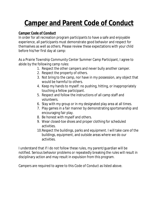### **Camper and Parent Code of Conduct**

### **Camper Code of Conduct**

In order for all recreation program participants to have a safe and enjoyable experience, all participants must demonstrate good behavior and respect for themselves as well as others. Please review these expectations with your child before his/her first day at camp:

As a Prairie Township Community Center Summer Camp Participant, I agree to abide by the following camp rules:

- 1. Respect the other campers and never bully another camper.
- 2. Respect the property of others.
- 3. Not bring to the camp, nor have in my possession, any object that would be harmful to others.
- 4. Keep my hands to myself: no pushing, hitting, or inappropriately touching a fellow participant.
- 5. Respect and follow the instructions of all camp staff and volunteers.
- 6. Stay with my group or in my designated play area at all times.
- 7. Play games in a fair manner by demonstrating sportsmanship and encouraging fair play.
- 8. Be honest with myself and others.
- 9. Wear closed-toe shoes and proper clothing for scheduled activities.
- 10.Respect the buildings, parks and equipment. I will take care of the buildings, equipment, and outside areas where we do our activities.

I understand that if I do not follow these rules, my parent/guardian will be notified. Serious behavior problems or repeatedly breaking the rules will result in disciplinary action and may result in expulsion from this program.

Campers are required to agree to this Code of Conduct as listed above.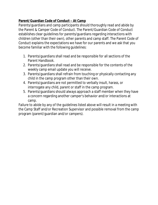### **Parent/Guardian Code of Conduct – At Camp**

Parents/guardians and camp participants should thoroughly read and abide by the Parent & Camper Code of Conduct. The Parent/Guardian Code of Conduct establishes clear guidelines for parents/guardians regarding interactions with children (other than their own), other parents and camp staff. The Parent Code of Conduct explains the expectations we have for our parents and we ask that you become familiar with the following guidelines:

- 1. Parents/guardians shall read and be responsible for all sections of the Parent Handbook.
- 2. Parents/guardians shall read and be responsible for the contents of the weekly camp email update you will receive.
- 3. Parents/guardians shall refrain from touching or physically contacting any child in the camp program other than their own.
- 4. Parents/guardians are not permitted to verbally insult, harass, or interrogate any child, parent or staff in the camp program.
- 5. Parents/guardians should always approach a staff member when they have a concern regarding another camper's behavior and/or interactions at camp.

Failure to abide by any of the guidelines listed above will result in a meeting with the Camp Staff and/or Recreation Supervisor and possible removal from the camp program (parent/guardian and/or campers).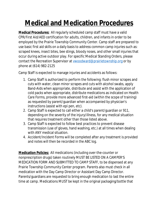# **Medical and Medication Procedures**

**Medical Procedures:** All regularly scheduled camp staff must have a valid CPR/First Aid/AED certification for adults, children, and infants in order to be employed by the Prairie Township Community Center. Camp staff are prepared to use basic first aid skills on a daily basis to address common camp injuries such as: scraped knees, insect bites, bee stings, bloody noses, and other small injuries that occur during active outdoor play. For specific Medical Standing Orders, please contact the Recreation Supervisor at [vwoodward@prairietownship.org](mailto:vwoodward@prairietownship.org) or by phone at (614) 982-2125

Camp Staff is expected to manage injuries and accidents as follows:

- 1. Camp Staff is authorized to perform the following: flush minor scrapes and cuts with water, clean minor scrapes and cuts with alcohol swabs, apply Band-Aids when appropriate, distribute and assist with the application of cold packs when appropriate, distribute medications as indicated on Health Care Forms, provide more advanced first-aid (within the scope of training) as requested by parent/guardian when accompanied by physician's instructions (assist with epi pen, etc).
- 2. Camp Staff is expected to call either a child's parent/guardian or 911, depending on the severity of the injury/illness, for any medical situation that requires treatment other than those listed above.
- 3. Camp Staff is expected to follow best practices to prevent disease transmission (use of gloves, hand washing, etc.) at all times when dealing with ANY medical situation.
- 4. Accident/Incident Forms will be completed after any treatment is provided and notes will then be recorded in the ABC log.

**Medication Policies:** All medications (including over-the-counter or nonprescription drugs) taken routinely MUST BE LISTED ON A CAMPER'S MEDICATION FORM AND SUBMITTED TO CAMP STAFF, to be dispensed at any Prairie Township Community Center program. Parents also must check in all medication with the Day Camp Director or Assistant Day Camp Director. Parents/guardians are requested to bring enough medication to last the entire time at camp. Medications MUST be kept in the original packaging/bottle that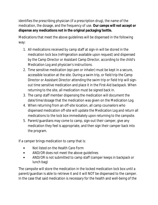identifies the prescribing physician (if a prescription drug), the name of the medication, the dosage, and the frequency of use. **Our camps will not accept or dispense any medications not in the original packaging/bottle.**

Medications that meet the above guidelines will be dispensed in the following way:

- 1. All medications received by camp staff at sign-in will be stored in the medication lock box (refrigeration available upon request) and dispensed by the Camp Director or Assistant Camp Director, according to the child's Medication Log and physician's instructions.
- 2. Time sensitive medication (epi-pen or inhaler) must be kept in a secure, accessible location at the site. During a swim trip, or field trip the Camp Director or Assistant Director attending the swim trip or field trip will signout time sensitive medication and place it in the First-Aid backpack. When returning to the site, all medication must be signed back in.
- 3. The camp staff member dispensing the medication will document the date/time/dosage that the medication was given on the Medication Log.
- 4. When returning from an off-site location, all camp counselors who dispensed medication off-site will update the Medication Log and return all medications to the lock box immediately upon returning to the campsite.
- 5. Parent/guardians may come to camp, sign-out their camper, give any medication they feel is appropriate, and then sign their camper back into the program.

If a camper brings medication to camp that is:

- Not listed on the Health Care Form
- AND/OR does not meet the above quidelines
- AND/OR is not submitted to camp staff (camper keeps in backpack or lunch bag)

The campsite will store the medication in the locked medication lock box until a parent/guardian is able to retrieve it and it will NOT be dispensed to the camper. In the case that said medication is necessary for the health and well-being of the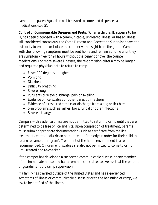camper, the parent/guardian will be asked to come and dispense said medications (see 5).

**Control of Communicable Diseases and Pests:** When a child is ill, appears to be ill, has been diagnosed with a communicable, untreated illness, or has an illness still considered contagious, the Camp Director and Recreation Supervisor have the authority to exclude or isolate the camper within sight from the group. Campers with the following symptoms must be sent home and remain at home until they are symptom - free for 24 hours without the benefit of over the counter medications. For more severe illnesses, the re-admission criteria may be longer and require a physician note to return to camp.

- Fever 100 degrees or higher
- Vomiting
- Diarrhea
- Difficulty breathing
- Severe cough
- Purulent (pus) eye discharge, pain or swelling
- Evidence of lice, scabies or other parasitic infections
- Evidence of a rash, red streaks or discharge from a bug or tick bite
- Skin problems such as rashes, boils, fungal or other infections
- Severe lethargy

Campers with evidence of lice are not permitted to return to camp until they are determined to be free of lice and nits. Upon completion of treatment, parents must submit appropriate documentation (such as certificate from the lice treatment center, pediatrician note, receipt of remedy) in order for their child to return to camp or program). Treatment of the home environment is also recommended. Children with scabies are also not permitted to come to camp until treated and re-checked.

If the camper has developed a suspected communicable disease or any member of the immediate household has a communicable disease, we ask that the parents or guardians notify camp supervision.

If a family has traveled outside of the United States and has experienced symptoms of illness or communicable disease prior to the beginning of camp, we ask to be notified of the illness.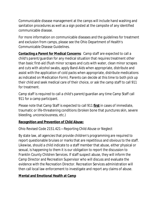Communicable disease management at the camps will include hand washing and sanitation procedures as well as a sign posted at the campsite of any identified communicable disease.

For more information on communicable diseases and the guidelines for treatment and exclusion from camps, please see the Ohio Department of Health's Communicable Disease Guidelines.

**Contacting a Parent for Medical Concerns**: Camp staff are expected to call a child's parent/guardian for any medical situation that requires treatment other than basic first-aid (flush minor scrapes and cuts with water, clean minor scrapes and cuts with alcohol swabs, apply Band-Aids when appropriate, distribute and assist with the application of cold packs when appropriate, distribute medications as indicated on Medication Form). Parents can decide at this time to both pick up their child and seek medical care of their choice, or ask the camp staff to call 911 for treatment.

Camp staff is required to call a child's parent/guardian any time Camp Staff call 911 for a camp participant.

Please note that Camp Staff is expected to call 911 **first** in cases of immediate, traumatic or life-threatening conditions (broken bone that punctures skin, severe bleeding, unconsciousness, etc.)

### **Recognition and Prevention of Child Abuse:**

Ohio Revised Code 2151.421—Reporting Child Abuse or Neglect

By state law, all agencies that provide children's programming are required to report questionable bruises or marks that are repetitious and obvious to the staff. Likewise, should a child indicate to a staff member that abuse, either physical or sexual, is happening to them it is our obligation to report the discussion to Franklin County Children Services. If staff suspect abuse, they will inform the Camp Director and Recreation Supervisor who will discuss and evaluate the evidence with the Recreation Director. Recreation Services administration will then call local law enforcement to investigate and report any claims of abuse.

### **Mental and Emotional Health at Camp**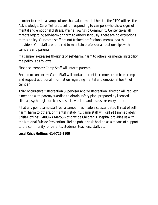In order to create a camp culture that values mental health, the PTCC utilizes the Acknowledge, Care, Tell protocol for responding to campers who show signs of mental and emotional distress. Prairie Township Community Center takes all threats regarding self-harm or harm to others seriously; there are no exceptions to this policy. Our camp staff are not trained professional mental health providers. Our staff are required to maintain professional relationships with campers and parents.

If a camper expresses thoughts of self-harm, harm to others, or mental instability, the policy is as follows:

First occurrence\*: Camp Staff will inform parents.

Second occurrence\*: Camp Staff will contact parent to remove child from camp and request additional information regarding mental and emotional health of camper.

Third occurrence\*: Recreation Supervisor and/or Recreation Director will request a meeting with parent/guardian to obtain safety plan, prepared by licensed clinical psychologist or licensed social worker, and discuss re-entry into camp.

\*If at any point camp staff feel a camper has made a substantiated threat of selfharm, harm to others, or mental instability, camp staff will call 911 immediately. **Crisis Hotline: 1-800-273-8255** Nationwide Children's Hospital provides us with the National Suicide Prevention Lifeline public crisis hotline as a means of support to the community for parents, students, teachers, staff, etc.

### **Local Crisis Hotline: 614-722-1800**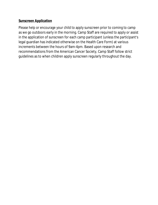#### **Sunscreen Application**

Please help or encourage your child to apply sunscreen prior to coming to camp as we go outdoors early in the morning. Camp Staff are required to apply or assist in the application of sunscreen for each camp participant (unless the participant's legal guardian has indicated otherwise on the Health Care Form) at various increments between the hours of 9am-4pm. Based upon research and recommendations from the American Cancer Society, Camp Staff follow strict guidelines as to when children apply sunscreen regularly throughout the day.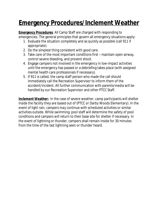### **Emergency Procedures/Inclement Weather**

**Emergency Procedures:** All Camp Staff are charged with responding to emergencies. The general principles that govern all emergency situations apply:

- 1. Evaluate the situation completely and as quickly as possible (call 911 if appropriate).
- 2. Do the simplest thing consistent with good care.
- 3. Take care of the most important conditions first maintain open airway, control severe bleeding, and prevent shock.
- 4. Engage campers not involved in the emergency in low-impact activities until the emergency has passed or a debriefing takes place (with assigned mental health care professionals if necessary).
- 5. If 911 is called, the camp staff person who made the call should immediately call the Recreation Supervisor to inform them of the accident/incident. All further communication with parents/media will be handled by our Recreation Supervisor and other PTCC Staff.

**Inclement Weather:** In the case of severe weather, camp participants will shelter inside the facility they are based out of (PTCC or Darby Woods Elementary). In the event of light rain, campers *may* continue with scheduled activities or similar activities outside. While swimming, pool staff will determine the safety of pool conditions and campers will return to their base site for shelter if necessary. In the event of lightning or thunder, campers shall remain inside for 30 minutes from the time of the last lightning seen or thunder heard.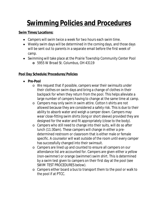# **Swimming Policies and Procedures**

### **Swim Times/Locations:**

- Campers will swim twice a week for two hours each swim time.
- Weekly swim days will be determined in the coming days, and those days will be sent out to parents in a separate email before the first week of camp.
- Swimming will take place at the Prairie Township Community Center Pool **o** 5955 W Broad St. Columbus, OH 43119

### **Pool Day Schedule/Procedures/Policies**

- **Pre-Pool**
	- o We request that if possible, campers wear their swimsuits under their clothes on swim days and bring a change of clothes in their backpack for when they return from the pool. This helps alleviate a large number of campers having to change at the same time at camp.
	- o Campers may only swim in swim attire. Cotton t-shirts are not allowed because they are considered a safety risk. This is due to their ability to absorb water and weigh a camper down. Campers may wear close-fitting swim shirts (long or short sleeve) provided they are designed for the water and fit appropriately (close to the body).
	- o Campers who still need to change into their suits, will do so after lunch (11:30am). These campers will change in either a predetermined restroom or classroom that is either male or female specific. A counselor will wait outside of the room until every camper has successfully changed into their swimsuit.
	- o Campers are lined up and counted to ensure all campers on our attendance list are accounted for. Campers are given either a yellow (non-swimmer) or orange (swimmer) swim shirt. This is determined by a swim test given to campers on their first day at the pool (see SWIM TEST PROCEDURES below).
	- o Campers either board a bus to transport them to the pool or walk to the pool if at PTCC.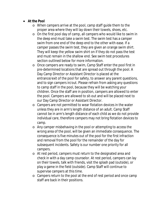#### **At the Pool**

- o When campers arrive at the pool, camp staff guide them to the proper area where they will lay down their towels, shoes, etc.
- o On the first pool day of camp, all campers who would like to swim in the deep end must take a swim test. The swim test has a camper swim from one end of the deep end to the other with ease. If a camper passes the swim test, they are given an orange swim shirt. They will keep the yellow swim shirt on if they do not pass the test and must remain in the shallow end. See swim test procedures section outlined below for more information.
- o Once campers are ready to swim, Camp Staff enter the pool first in pre-determined locations that are spread out through the pool. A Day Camp Director or Assistant Director is placed at the entrance/exit of the pool for safety, to answer any parent questions, and to sign campers in/out. Please refrain from asking any questions to camp staff in the pool, because they will be watching your children. Once the staff are in position, campers are allowed to enter the pool. Campers are allowed to sit-out and will be placed next to our Day Camp Director or Assistant Director.
- o Campers are not permitted to wear flotation devices in the water unless they are in arm's length distance of an adult. Camp Staff cannot be in arm's length distance of each child as we do not provide individual care, therefore campers may not bring flotation devices to camp.
- o Any camper misbehaving in the pool or attempting to access the wrong area of the pool, will be given an immediate consequence. The consequence is five minutes out of the pool for the first infraction and removal from the pool for the remainder of the day for subsequent incidents. Safety is our number one priority for all campers.
- o At rest period, campers must return to the designated area and check in with a day camp counselor. At rest period, campers can lay on their towels, talk with friends, visit the splash pad (outside), or play a game in the field (outside). Camp Staff will continue to supervise campers at this time.
- o Campers return to the pool at the end of rest period and once camp staff are back in their positions.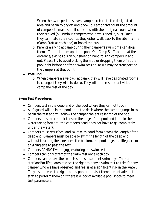- o When the swim period is over, campers return to the designated area and begin to dry off and pack-up. Camp Staff count the amount of campers to make sure it coincides with their original count when they arrived (plus/minus campers who have signed in/out). Once they can match their counts, they either walk back to the site in a line (Camp Staff at each end) or board the bus.
- o Parents arriving at camp during their camper's swim time can drop them off or pick them up at the pool. Our Camp Staff located at the entrance/exit has a sign out sheet on hand to sign campers in and out. Please try to avoid picking them up or dropping them off at the pool right before or after a swim session, as we may be transporting the campers at that point.
- **Post-Pool**
	- o When campers arrive back at camp, they will have designated rooms to change if they wish to do so. They will then resume activities at camp the rest of the day.

### **Swim Test Procedures**

- Campers test in the deep end of the pool where they cannot touch.
- A lifeguard will be in the pool or on the deck where the camper jumps in to begin the test and will follow the camper the entire length of the pool.
- Campers must place their toes on the edge of the pool and jump in the water facing forward (the camper's head does not have to go completely under the water).
- Campers must resurface, and swim with good form across the length of the deep end. Campers must be able to swim the length of the deep end without touching the lane lines, the bottom, the pool edge, the lifeguard or anything else to pass the test.
- Campers CANNOT wear goggles during the swim test.
- Campers can only attempt the swim test once each day.
- Campers can re-take the swim test on subsequent swim days. The camp staff and/or lifeguards reserve the right to deny a swim test re-take for any camper who we have observed and feel is at a significant risk in the water. They also reserve the right to postpone re-tests if there are not adequate staff to perform them or if there is a lack of available pool space to meet test parameters.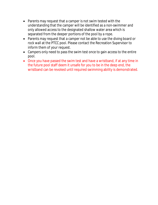- Parents may request that a camper is not swim tested with the understanding that the camper will be identified as a non-swimmer and only allowed access to the designated shallow water area which is separated from the deeper portions of the pool by a rope.
- Parents may request that a camper not be able to use the diving board or rock wall at the PTCC pool. Please contact the Recreation Supervisor to inform them of your request.
- Campers only need to pass the swim test once to gain access to the entire pool.
- Once you have passed the swim test and have a wristband, if at any time in the future pool staff deem it unsafe for you to be in the deep end, the wristband can be revoked until required swimming ability is demonstrated.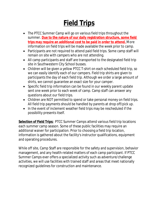### **Field Trips**

- The PTCC Summer Camp will go on various field trips throughout the summer. **Due to the nature of our daily registration structure, some field trips may require an additional cost to be paid in order to attend.** More information on field trips will be made available the week prior to camp.
- Participants are not required to attend paid field trips. Some camp staff will remain on site with campers who are not attending.
- All camp participants and staff are transported to the designated field trip site in Southwestern City School busses.
- Children will be given a yellow PTCC T-shirt on each scheduled field trip, so we can easily identify each of our campers. Field trip shirts are given to participants the day of each field trip. Although we order a large amount of shirts, we cannot guarantee an exact size for your camper.
- Specific field trip information can be found in our weekly parent update sent one week prior to each week of camp. Camp staff can answer any questions about our field trips.
- Children are NOT permitted to spend or take personal money on field trips. All field trip payments should be handled by parents at drop off/pick up.
- In the event of inclement weather field trips may be rescheduled if the possibility presents itself.

**Selection of Field Trips:** PTCC Summer Camps attend various field trip locations each summer camp season. Some of these public facilities may require an additional waiver for participation. Prior to choosing a field trip location, information is gathered about the facility's instructor qualifications, equipment and operating procedures.

While off site, Camp Staff are responsible for the safety and supervision, behavior management, and any health-related matters of each camp participant. If PTCC Summer Camps ever offers a specialized activity such as adventure/challenge activities, we will use facilities with trained staff and areas that meet nationally recognized guidelines for construction and maintenance.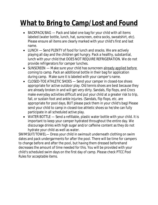### **What to Bring to Camp/Lost and Found**

- BACKPACK/BAG Pack and label one bag for your child with all items labeled (water bottle, lunch, hat, sunscreen, extra socks, sweatshirt, etc). Please ensure all items are clearly marked with your child's first and last name.
- LUNCH Send PLENTY of food for lunch and snacks. We are actively playing all day and the children get hungry. Pack a healthy, substantial, lunch with your child that DOES NOT REQUIRE REFRIGERATION. We do not provide refrigerators for camper lunches.
- SUNSCREEN Make sure your child has sunscreen already applied before coming to camp. Pack an additional bottle in their bag for application during camp. Make sure it is labeled with your camper's name.
- CLOSED-TOE ATHLETIC SHOES Send your camper in closed-toe shoes appropriate for active outdoor play. Old tennis shoes are best because they are already broken in and will get very dirty. Sandals, flip flops, and Crocs make everyday activities difficult and put your child at a greater risk to trip, fall, or sustain foot and ankle injuries. (Sandals, flip flops, etc. are appropriate for pool days, BUT please pack them in your child's bag) Please send your child to camp in closed-toe athletic shoes so he/she can fully participate in all scheduled active play.
- WATER BOTTLE Send a refillable, plastic water bottle with your child. It is important to keep your camper hydrated throughout the entire day. We discourage drinks with high sugar and/or caffeine content as they do not hydrate your child as well as water.

SWIMSUIT/TOWEL— Dress your child in swimsuit underneath clothing on swim dates and pack undergarments for after the pool. There will be time for campers to change before and after the pool, but having them dressed beforehand decreases the amount of time needed for this. You will be provided with your child's scheduled swim days on the first day of camp. *Please check PTCC Pool Rules for acceptable items.*